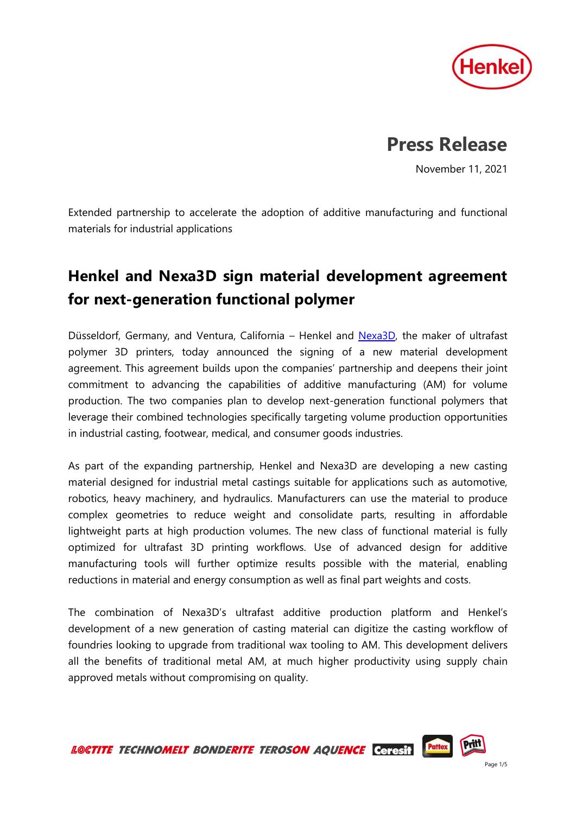

## **Press Release**

November 11, 2021

Extended partnership to accelerate the adoption of additive manufacturing and functional materials for industrial applications

## **Henkel and Nexa3D sign material development agreement for next-generation functional polymer**

Düsseldorf, Germany, and Ventura, California – Henkel and [Nexa3D,](https://nexa3d.com/?utm_source=HN&utm_medium=PR&utm_campaign=Nexa3D&utm_id=NED025) the maker of ultrafast polymer 3D printers, today announced the signing of a new material development agreement. This agreement builds upon the companies' partnership and deepens their joint commitment to advancing the capabilities of additive manufacturing (AM) for volume production. The two companies plan to develop next-generation functional polymers that leverage their combined technologies specifically targeting volume production opportunities in industrial casting, footwear, medical, and consumer goods industries.

As part of the expanding partnership, Henkel and Nexa3D are developing a new casting material designed for industrial metal castings suitable for applications such as automotive, robotics, heavy machinery, and hydraulics. Manufacturers can use the material to produce complex geometries to reduce weight and consolidate parts, resulting in affordable lightweight parts at high production volumes. The new class of functional material is fully optimized for ultrafast 3D printing workflows. Use of advanced design for additive manufacturing tools will further optimize results possible with the material, enabling reductions in material and energy consumption as well as final part weights and costs.

The combination of Nexa3D's ultrafast additive production platform and Henkel's development of a new generation of casting material can digitize the casting workflow of foundries looking to upgrade from traditional wax tooling to AM. This development delivers all the benefits of traditional metal AM, at much higher productivity using supply chain approved metals without compromising on quality.

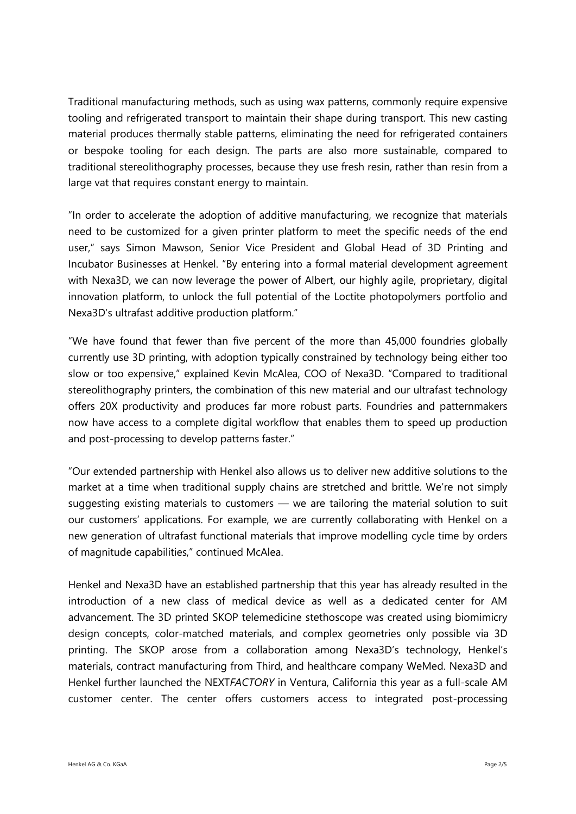Traditional manufacturing methods, such as using wax patterns, commonly require expensive tooling and refrigerated transport to maintain their shape during transport. This new casting material produces thermally stable patterns, eliminating the need for refrigerated containers or bespoke tooling for each design. The parts are also more sustainable, compared to traditional stereolithography processes, because they use fresh resin, rather than resin from a large vat that requires constant energy to maintain.

"In order to accelerate the adoption of additive manufacturing, we recognize that materials need to be customized for a given printer platform to meet the specific needs of the end user," says Simon Mawson, Senior Vice President and Global Head of 3D Printing and Incubator Businesses at Henkel. "By entering into a formal material development agreement with Nexa3D, we can now leverage the power of Albert, our highly agile, proprietary, digital innovation platform, to unlock the full potential of the Loctite photopolymers portfolio and Nexa3D's ultrafast additive production platform."

"We have found that fewer than five percent of the more than 45,000 foundries globally currently use 3D printing, with adoption typically constrained by technology being either too slow or too expensive," explained Kevin McAlea, COO of Nexa3D. "Compared to traditional stereolithography printers, the combination of this new material and our ultrafast technology offers 20X productivity and produces far more robust parts. Foundries and patternmakers now have access to a complete digital workflow that enables them to speed up production and post-processing to develop patterns faster."

"Our extended partnership with Henkel also allows us to deliver new additive solutions to the market at a time when traditional supply chains are stretched and brittle. We're not simply suggesting existing materials to customers — we are tailoring the material solution to suit our customers' applications. For example, we are currently collaborating with Henkel on a new generation of ultrafast functional materials that improve modelling cycle time by orders of magnitude capabilities," continued McAlea.

Henkel and Nexa3D have an established partnership that this year has already resulted in the introduction of a new class of medical device as well as a dedicated center for AM advancement. The 3D printed SKOP telemedicine stethoscope was created using biomimicry design concepts, color-matched materials, and complex geometries only possible via 3D printing. The SKOP arose from a collaboration among Nexa3D's technology, Henkel's materials, contract manufacturing from Third, and healthcare company WeMed. Nexa3D and Henkel further launched the NEXT*FACTORY* in Ventura, California this year as a full-scale AM customer center. The center offers customers access to integrated post-processing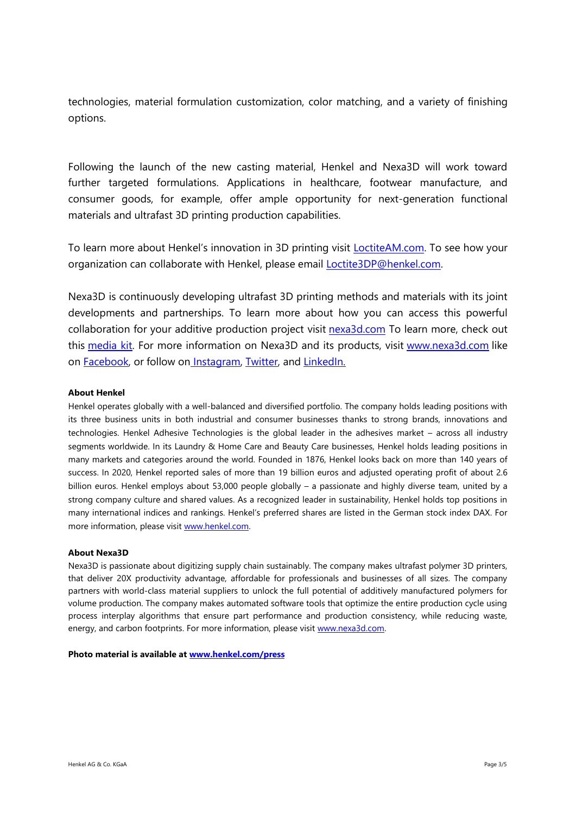technologies, material formulation customization, color matching, and a variety of finishing options.

Following the launch of the new casting material, Henkel and Nexa3D will work toward further targeted formulations. Applications in healthcare, footwear manufacture, and consumer goods, for example, offer ample opportunity for next-generation functional materials and ultrafast 3D printing production capabilities.

To learn more about Henkel's innovation in 3D printing visit **LoctiteAM.com**. To see how your organization can collaborate with Henkel, please email **Loctite3DP@henkel.com**.

Nexa3D is continuously developing ultrafast 3D printing methods and materials with its joint developments and partnerships. To learn more about how you can access this powerful collaboration for your additive production project visit [nexa3d.com](https://nexa3d.com/?utm_source=Stone+Junction&utm_medium=HN&utm_id=NED025) To learn more, check out this [media kit.](https://drive.google.com/drive/folders/1P5-jUdPN8TKGJ1LNmdiJOSVJYqiOOAhS) For more information on Nexa3D and its products, visit [www.nexa3d.com](http://www.nexa3d.com/) like on **Facebook**, or follow on **Instagram**, [Twitter,](https://twitter.com/Nexa_3D) and **[LinkedIn.](https://www.linkedin.com/company/nexa3d/)** 

## **About Henkel**

Henkel operates globally with a well-balanced and diversified portfolio. The company holds leading positions with its three business units in both industrial and consumer businesses thanks to strong brands, innovations and technologies. Henkel Adhesive Technologies is the global leader in the adhesives market – across all industry segments worldwide. In its Laundry & Home Care and Beauty Care businesses, Henkel holds leading positions in many markets and categories around the world. Founded in 1876, Henkel looks back on more than 140 years of success. In 2020, Henkel reported sales of more than 19 billion euros and adjusted operating profit of about 2.6 billion euros. Henkel employs about 53,000 people globally – a passionate and highly diverse team, united by a strong company culture and shared values. As a recognized leader in sustainability, Henkel holds top positions in many international indices and rankings. Henkel's preferred shares are listed in the German stock index DAX. For more information, please visit [www.henkel.com.](file:///C:/Users/fischerl/AppData/Local/Microsoft/Windows/INetCache/Content.Outlook/2MGCYH4Y/www.henkel.com)

## **About Nexa3D**

Nexa3D is passionate about digitizing supply chain sustainably. The company makes ultrafast polymer 3D printers, that deliver 20X productivity advantage, affordable for professionals and businesses of all sizes. The company partners with world-class material suppliers to unlock the full potential of additively manufactured polymers for volume production. The company makes automated software tools that optimize the entire production cycle using process interplay algorithms that ensure part performance and production consistency, while reducing waste, energy, and carbon footprints. For more information, please visit [www.nexa3d.com.](https://nexa3d.com/)

**Photo material is available at [www.henkel.com/press](http://www.henkel.com/press)**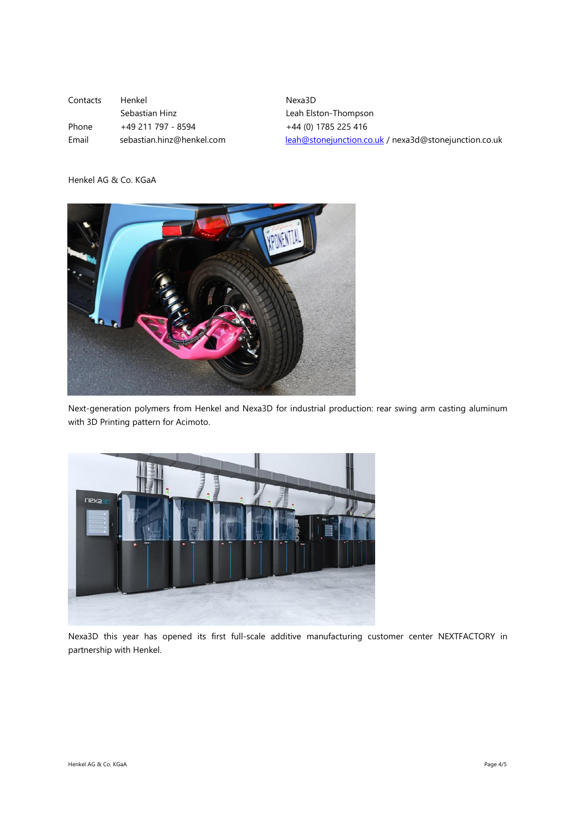| Contacts | Henkel                    | Nexa3D                                                |
|----------|---------------------------|-------------------------------------------------------|
|          | Sebastian Hinz            | Leah Elston-Thompson                                  |
| Phone    | +49 211 797 - 8594        | +44 (0) 1785 225 416                                  |
| Email    | sebastian.hinz@henkel.com | leah@stonejunction.co.uk / nexa3d@stonejunction.co.uk |

Henkel AG & Co. KGaA



Next-generation polymers from Henkel and Nexa3D for industrial production: rear swing arm casting aluminum with 3D Printing pattern for Acimoto.



Nexa3D this year has opened its first full-scale additive manufacturing customer center NEXTFACTORY in partnership with Henkel.